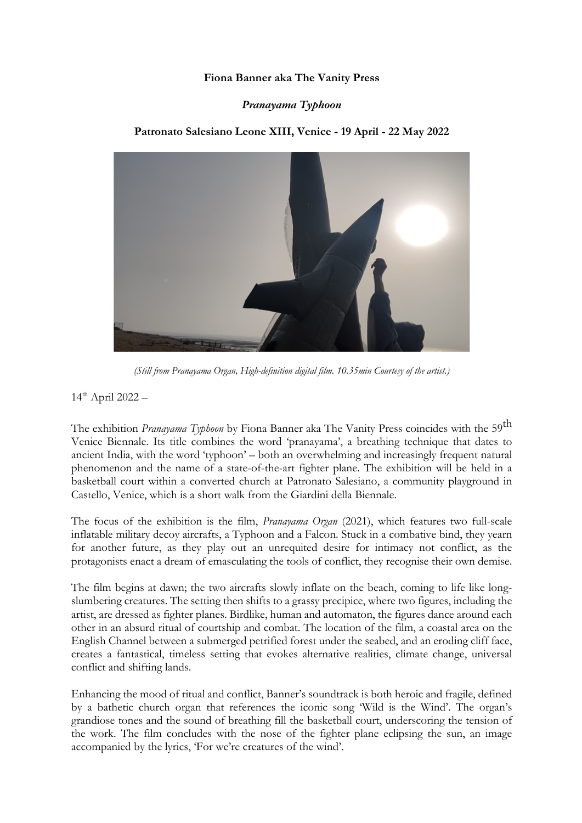# **Fiona Banner aka The Vanity Press**

### *Pranayama Typhoon*

# **Patronato Salesiano Leone XIII, Venice - 19 April - 22 May 2022**



*(Still from Pranayama Organ, High-definition digital film. 10.35min Courtesy of the artist.)*

 $14^{\text{th}}$  April 2022 -

The exhibition *Pranayama Typhoon* by Fiona Banner aka The Vanity Press coincides with the 59th Venice Biennale. Its title combines the word 'pranayama', a breathing technique that dates to ancient India, with the word 'typhoon' – both an overwhelming and increasingly frequent natural phenomenon and the name of a state-of-the-art fighter plane. The exhibition will be held in a basketball court within a converted church at Patronato Salesiano, a community playground in Castello, Venice, which is a short walk from the Giardini della Biennale.

The focus of the exhibition is the film, *Pranayama Organ* (2021), which features two full-scale inflatable military decoy aircrafts, a Typhoon and a Falcon. Stuck in a combative bind, they yearn for another future, as they play out an unrequited desire for intimacy not conflict, as the protagonists enact a dream of emasculating the tools of conflict, they recognise their own demise.

The film begins at dawn; the two aircrafts slowly inflate on the beach, coming to life like longslumbering creatures. The setting then shifts to a grassy precipice, where two figures, including the artist, are dressed as fighter planes. Birdlike, human and automaton, the figures dance around each other in an absurd ritual of courtship and combat. The location of the film, a coastal area on the English Channel between a submerged petrified forest under the seabed, and an eroding cliff face, creates a fantastical, timeless setting that evokes alternative realities, climate change, universal conflict and shifting lands.

Enhancing the mood of ritual and conflict, Banner's soundtrack is both heroic and fragile, defined by a bathetic church organ that references the iconic song 'Wild is the Wind'. The organ's grandiose tones and the sound of breathing fill the basketball court, underscoring the tension of the work. The film concludes with the nose of the fighter plane eclipsing the sun, an image accompanied by the lyrics, 'For we're creatures of the wind'.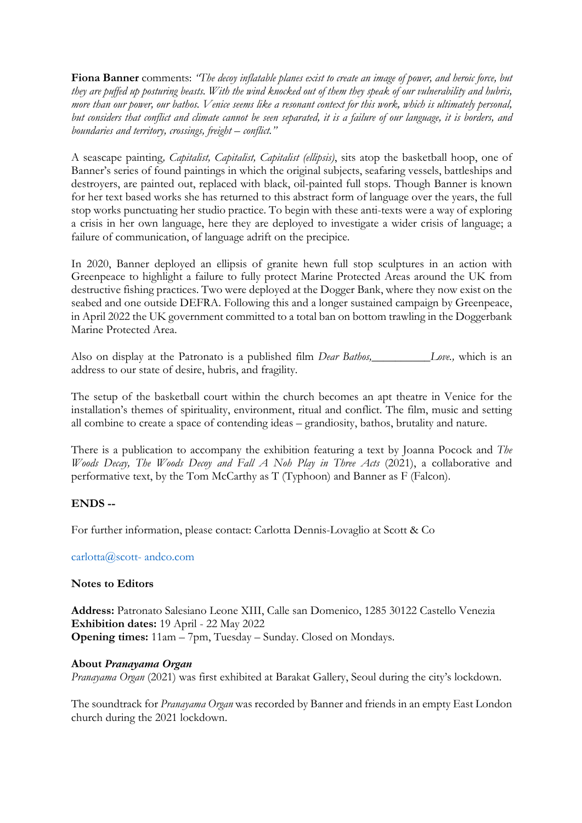**Fiona Banner** comments: *"The decoy inflatable planes exist to create an image of power, and heroic force, but they are puffed up posturing beasts. With the wind knocked out of them they speak of our vulnerability and hubris, more than our power, our bathos. Venice seems like a resonant context for this work, which is ultimately personal, but considers that conflict and climate cannot be seen separated, it is a failure of our language, it is borders, and boundaries and territory, crossings, freight – conflict."*

A seascape painting*, Capitalist, Capitalist, Capitalist (ellipsis)*, sits atop the basketball hoop, one of Banner's series of found paintings in which the original subjects, seafaring vessels, battleships and destroyers, are painted out, replaced with black, oil-painted full stops. Though Banner is known for her text based works she has returned to this abstract form of language over the years, the full stop works punctuating her studio practice. To begin with these anti-texts were a way of exploring a crisis in her own language, here they are deployed to investigate a wider crisis of language; a failure of communication, of language adrift on the precipice.

In 2020, Banner deployed an ellipsis of granite hewn full stop sculptures in an action with Greenpeace to highlight a failure to fully protect Marine Protected Areas around the UK from destructive fishing practices. Two were deployed at the Dogger Bank, where they now exist on the seabed and one outside DEFRA. Following this and a longer sustained campaign by Greenpeace, in April 2022 the UK government committed to a total ban on bottom trawling in the Doggerbank Marine Protected Area.

Also on display at the Patronato is a published film *Dear Bathos,\_\_\_\_\_\_\_\_\_\_Love.,* which is an address to our state of desire, hubris, and fragility.

The setup of the basketball court within the church becomes an apt theatre in Venice for the installation's themes of spirituality, environment, ritual and conflict. The film, music and setting all combine to create a space of contending ideas – grandiosity, bathos, brutality and nature.

There is a publication to accompany the exhibition featuring a text by Joanna Pocock and *The Woods Decay, The Woods Decoy and Fall A Noh Play in Three Acts* (2021), a collaborative and performative text, by the Tom McCarthy as T (Typhoon) and Banner as F (Falcon).

# **ENDS --**

For further information, please contact: Carlotta Dennis-Lovaglio at Scott & Co

carlotta@scott- andco.com

# **Notes to Editors**

**Address:** Patronato Salesiano Leone XIII, Calle san Domenico, 1285 30122 Castello Venezia **Exhibition dates:** 19 April - 22 May 2022 **Opening times:** 11am – 7pm, Tuesday – Sunday. Closed on Mondays.

# **About** *Pranayama Organ*

*Pranayama Organ* (2021) was first exhibited at Barakat Gallery, Seoul during the city's lockdown.

The soundtrack for *Pranayama Organ* was recorded by Banner and friends in an empty East London church during the 2021 lockdown.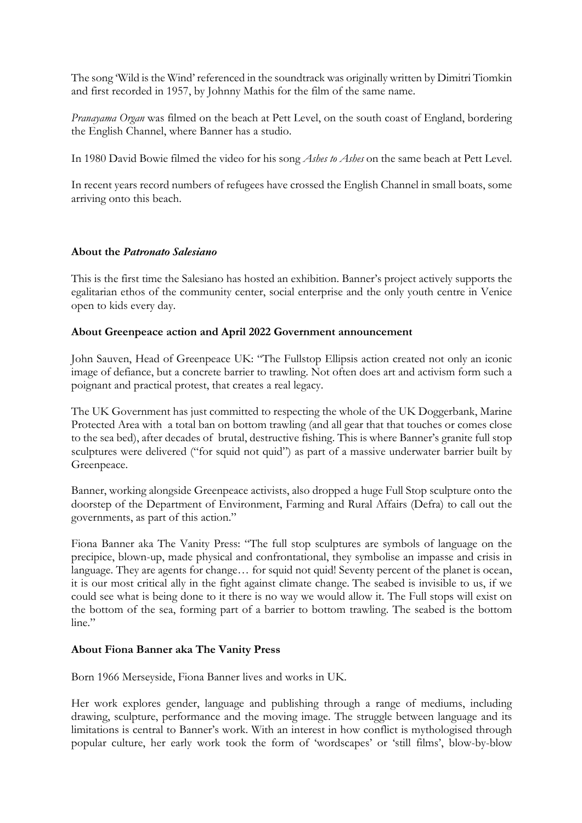The song 'Wild is the Wind' referenced in the soundtrack was originally written by Dimitri Tiomkin and first recorded in 1957, by Johnny Mathis for the film of the same name.

*Pranayama Organ* was filmed on the beach at Pett Level, on the south coast of England, bordering the English Channel, where Banner has a studio.

In 1980 David Bowie filmed the video for his song *Ashes to Ashes* on the same beach at Pett Level.

In recent years record numbers of refugees have crossed the English Channel in small boats, some arriving onto this beach.

# **About the** *Patronato Salesiano*

This is the first time the Salesiano has hosted an exhibition. Banner's project actively supports the egalitarian ethos of the community center, social enterprise and the only youth centre in Venice open to kids every day.

# **About Greenpeace action and April 2022 Government announcement**

John Sauven, Head of Greenpeace UK: "The Fullstop Ellipsis action created not only an iconic image of defiance, but a concrete barrier to trawling. Not often does art and activism form such a poignant and practical protest, that creates a real legacy.

The UK Government has just committed to respecting the whole of the UK Doggerbank, Marine Protected Area with a total ban on bottom trawling (and all gear that that touches or comes close to the sea bed), after decades of brutal, destructive fishing. This is where Banner's granite full stop sculptures were delivered ("for squid not quid") as part of a massive underwater barrier built by Greenpeace.

Banner, working alongside Greenpeace activists, also dropped a huge Full Stop sculpture onto the doorstep of the Department of Environment, Farming and Rural Affairs (Defra) to call out the governments, as part of this action."

Fiona Banner aka The Vanity Press: "The full stop sculptures are symbols of language on the precipice, blown-up, made physical and confrontational, they symbolise an impasse and crisis in language. They are agents for change... for squid not quid! Seventy percent of the planet is ocean, it is our most critical ally in the fight against climate change. The seabed is invisible to us, if we could see what is being done to it there is no way we would allow it. The Full stops will exist on the bottom of the sea, forming part of a barrier to bottom trawling. The seabed is the bottom line."

# **About Fiona Banner aka The Vanity Press**

Born 1966 Merseyside, Fiona Banner lives and works in UK.

Her work explores gender, language and publishing through a range of mediums, including drawing, sculpture, performance and the moving image. The struggle between language and its limitations is central to Banner's work. With an interest in how conflict is mythologised through popular culture, her early work took the form of 'wordscapes' or 'still films', blow-by-blow